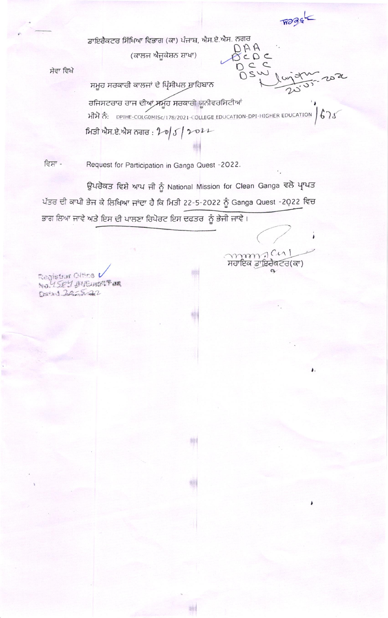ਡਾਇਰੈਕਟਰ ਸਿੱਖਿਆ ਵਿਭਾਗ (ਕਾ) ਪੰਜਾਬ, ਐਸ.ਏ.ਐਸ. ਨਗਰ BEDC

(ਕਾਲਜ ਐਜੂਕੇਸ਼ਨ ਸ਼ਾਖਾ)

ਸੇਵਾ ਵਿਖੇ

OSW ਸਮੂਹ ਸਰਕਾਰੀ ਕਾਲਜਾਂ ਦੇ ਪ੍ਰਿੰਸੀਪਲ ਸਾਹਿਬਾਨ ਰਜਿਸਟਰਾਰ ਰਾਜ ਦੀਆਂ ਸਮੂਹ ਸਰਕਾਰੀ ਯੂਨੀਵਰਸਿਟੀਆਂ 내가 층: DPIHE-COLGOMISc/178/2021-COLLEGE EDUCATION-DPI-HIGHER EDUCATION  $675$ ਸਿਤੀ ਐਸ.ਏ.ਐਸ ਨਗਰ :  $20|5|2022$ 

 $C C$ 

monscul ਸਹਾਇਕ ਡਾਇਰੈਕਟਰ(ਕਾ) ۱

١.

ਵਿਸ਼ਾ -Request for Participation in Ganga Quest -2022.

ਉਪਰੋਕਤ ਵਿਸ਼ੇ ਆਪ ਜੀ ਨੂੰ National Mission for Clean Ganga ਵਲੋ ਪ੍ਰਾਪਤ ਪੱਤਰ ਦੀ ਕਾਪੀ ਭੇਜ ਕੇ ਲਿਖਿਆ ਜਾਂਦਾ ਹੈ ਕਿ ਮਿਤੀ 22-5-2022 ਨੂੰ Ganga Quest -2022 ਵਿਚ ਭਾਗ ਲਿਆ ਜਾਵੇ ਅਤੇ ਇਸ ਦੀ ਪਾਲਣਾ ਰਿਪੋਰਟ ਇਸ ਦਫਤਰ ਨੂੰ ਭੇਜੀ ਜਾਵੇ।

耕

糟

喇川

啉

酬

Registrar Olfins V Comment Johnson